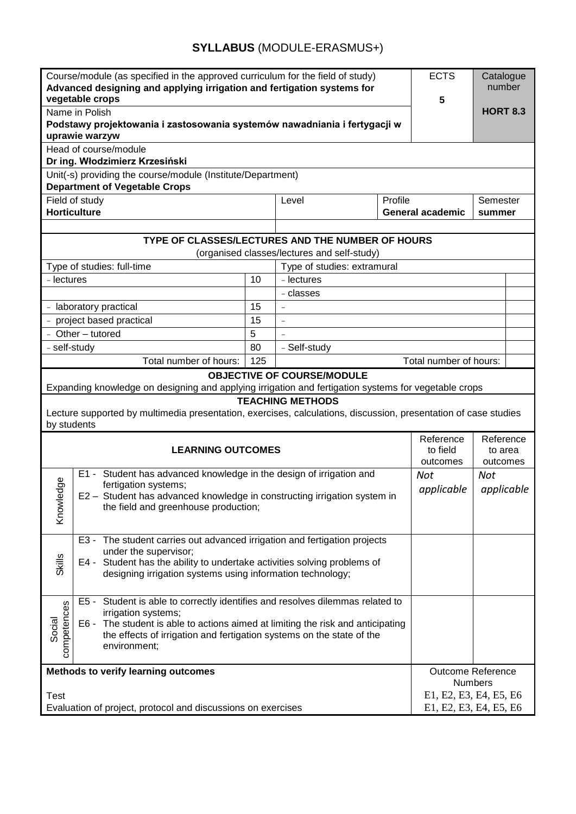## **SYLLABUS** (MODULE-ERASMUS+)

| Course/module (as specified in the approved curriculum for the field of study)<br>Advanced designing and applying irrigation and fertigation systems for<br>vegetable crops                                                                                                               |                                                                                                                                          |         |                                   |                                   | <b>ECTS</b><br>5                                 | Catalogue<br>number |  |  |
|-------------------------------------------------------------------------------------------------------------------------------------------------------------------------------------------------------------------------------------------------------------------------------------------|------------------------------------------------------------------------------------------------------------------------------------------|---------|-----------------------------------|-----------------------------------|--------------------------------------------------|---------------------|--|--|
| Name in Polish<br>Podstawy projektowania i zastosowania systemów nawadniania i fertygacji w<br>uprawie warzyw                                                                                                                                                                             |                                                                                                                                          |         |                                   |                                   |                                                  | <b>HORT 8.3</b>     |  |  |
| Head of course/module                                                                                                                                                                                                                                                                     |                                                                                                                                          |         |                                   |                                   |                                                  |                     |  |  |
| Dr ing. Włodzimierz Krzesiński                                                                                                                                                                                                                                                            |                                                                                                                                          |         |                                   |                                   |                                                  |                     |  |  |
| Unit(-s) providing the course/module (Institute/Department)<br><b>Department of Vegetable Crops</b>                                                                                                                                                                                       |                                                                                                                                          |         |                                   |                                   |                                                  |                     |  |  |
|                                                                                                                                                                                                                                                                                           | Field of study                                                                                                                           | Level   | Profile                           |                                   | Semester                                         |                     |  |  |
| <b>Horticulture</b>                                                                                                                                                                                                                                                                       |                                                                                                                                          |         | <b>General academic</b><br>summer |                                   |                                                  |                     |  |  |
|                                                                                                                                                                                                                                                                                           |                                                                                                                                          |         |                                   |                                   |                                                  |                     |  |  |
| TYPE OF CLASSES/LECTURES AND THE NUMBER OF HOURS                                                                                                                                                                                                                                          |                                                                                                                                          |         |                                   |                                   |                                                  |                     |  |  |
| (organised classes/lectures and self-study)                                                                                                                                                                                                                                               |                                                                                                                                          |         |                                   |                                   |                                                  |                     |  |  |
| Type of studies: full-time                                                                                                                                                                                                                                                                |                                                                                                                                          |         | Type of studies: extramural       |                                   |                                                  |                     |  |  |
| - lectures                                                                                                                                                                                                                                                                                |                                                                                                                                          |         | - lectures                        |                                   |                                                  |                     |  |  |
|                                                                                                                                                                                                                                                                                           |                                                                                                                                          |         | - classes                         |                                   |                                                  |                     |  |  |
| - laboratory practical                                                                                                                                                                                                                                                                    |                                                                                                                                          | 15      | $\equiv$                          |                                   |                                                  |                     |  |  |
|                                                                                                                                                                                                                                                                                           | - project based practical                                                                                                                | 15<br>5 | $\equiv$                          |                                   |                                                  |                     |  |  |
| - Other - tutored                                                                                                                                                                                                                                                                         |                                                                                                                                          | 80      | - Self-study                      |                                   |                                                  |                     |  |  |
| - self-study                                                                                                                                                                                                                                                                              |                                                                                                                                          | 125     |                                   | Total number of hours:            |                                                  |                     |  |  |
| Total number of hours:<br><b>OBJECTIVE OF COURSE/MODULE</b>                                                                                                                                                                                                                               |                                                                                                                                          |         |                                   |                                   |                                                  |                     |  |  |
| Expanding knowledge on designing and applying irrigation and fertigation systems for vegetable crops                                                                                                                                                                                      |                                                                                                                                          |         |                                   |                                   |                                                  |                     |  |  |
| <b>TEACHING METHODS</b>                                                                                                                                                                                                                                                                   |                                                                                                                                          |         |                                   |                                   |                                                  |                     |  |  |
| Lecture supported by multimedia presentation, exercises, calculations, discussion, presentation of case studies<br>by students                                                                                                                                                            |                                                                                                                                          |         |                                   |                                   |                                                  |                     |  |  |
| <b>LEARNING OUTCOMES</b>                                                                                                                                                                                                                                                                  |                                                                                                                                          |         |                                   | Reference<br>to field<br>outcomes | Reference<br>to area<br>outcomes                 |                     |  |  |
| E1 - Student has advanced knowledge in the design of irrigation and                                                                                                                                                                                                                       |                                                                                                                                          |         |                                   |                                   | <b>Not</b><br>Not<br>applicable<br>applicable    |                     |  |  |
|                                                                                                                                                                                                                                                                                           | fertigation systems;<br>E2 - Student has advanced knowledge in constructing irrigation system in<br>the field and greenhouse production; |         |                                   |                                   |                                                  |                     |  |  |
|                                                                                                                                                                                                                                                                                           |                                                                                                                                          |         |                                   |                                   |                                                  |                     |  |  |
|                                                                                                                                                                                                                                                                                           | Knowledge                                                                                                                                |         |                                   |                                   |                                                  |                     |  |  |
|                                                                                                                                                                                                                                                                                           |                                                                                                                                          |         |                                   |                                   |                                                  |                     |  |  |
| E3 - The student carries out advanced irrigation and fertigation projects<br>under the supervisor;<br>E4 - Student has the ability to undertake activities solving problems of                                                                                                            |                                                                                                                                          |         |                                   |                                   |                                                  |                     |  |  |
|                                                                                                                                                                                                                                                                                           |                                                                                                                                          |         |                                   |                                   |                                                  |                     |  |  |
| Skills<br>designing irrigation systems using information technology;                                                                                                                                                                                                                      |                                                                                                                                          |         |                                   |                                   |                                                  |                     |  |  |
|                                                                                                                                                                                                                                                                                           |                                                                                                                                          |         |                                   |                                   |                                                  |                     |  |  |
| E5 - Student is able to correctly identifies and resolves dilemmas related to<br>competences<br>irrigation systems;<br>Social<br>E6 - The student is able to actions aimed at limiting the risk and anticipating<br>the effects of irrigation and fertigation systems on the state of the |                                                                                                                                          |         |                                   |                                   |                                                  |                     |  |  |
|                                                                                                                                                                                                                                                                                           |                                                                                                                                          |         |                                   |                                   |                                                  |                     |  |  |
|                                                                                                                                                                                                                                                                                           |                                                                                                                                          |         |                                   |                                   |                                                  |                     |  |  |
| environment;                                                                                                                                                                                                                                                                              |                                                                                                                                          |         |                                   |                                   |                                                  |                     |  |  |
|                                                                                                                                                                                                                                                                                           |                                                                                                                                          |         |                                   |                                   |                                                  |                     |  |  |
| Methods to verify learning outcomes                                                                                                                                                                                                                                                       |                                                                                                                                          |         |                                   |                                   | <b>Outcome Reference</b>                         |                     |  |  |
|                                                                                                                                                                                                                                                                                           |                                                                                                                                          |         |                                   |                                   | <b>Numbers</b>                                   |                     |  |  |
| <b>Test</b><br>Evaluation of project, protocol and discussions on exercises                                                                                                                                                                                                               |                                                                                                                                          |         |                                   |                                   | E1, E2, E3, E4, E5, E6<br>E1, E2, E3, E4, E5, E6 |                     |  |  |
|                                                                                                                                                                                                                                                                                           |                                                                                                                                          |         |                                   |                                   |                                                  |                     |  |  |